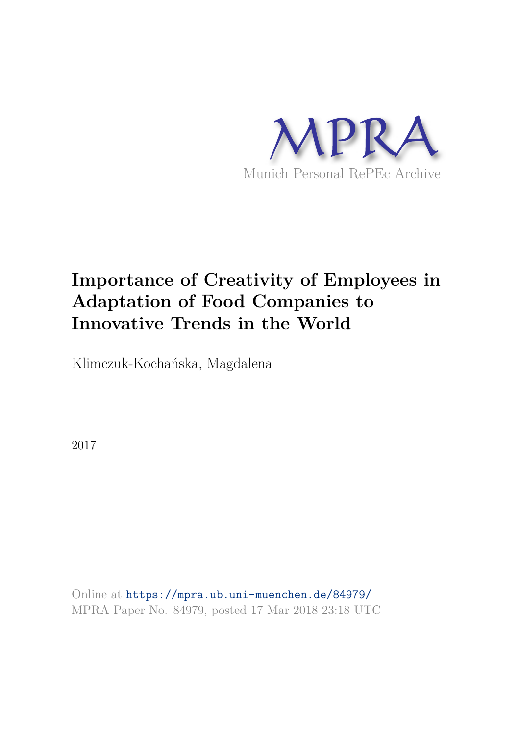

# **Importance of Creativity of Employees in Adaptation of Food Companies to Innovative Trends in the World**

Klimczuk-Kochańska, Magdalena

2017

Online at https://mpra.ub.uni-muenchen.de/84979/ MPRA Paper No. 84979, posted 17 Mar 2018 23:18 UTC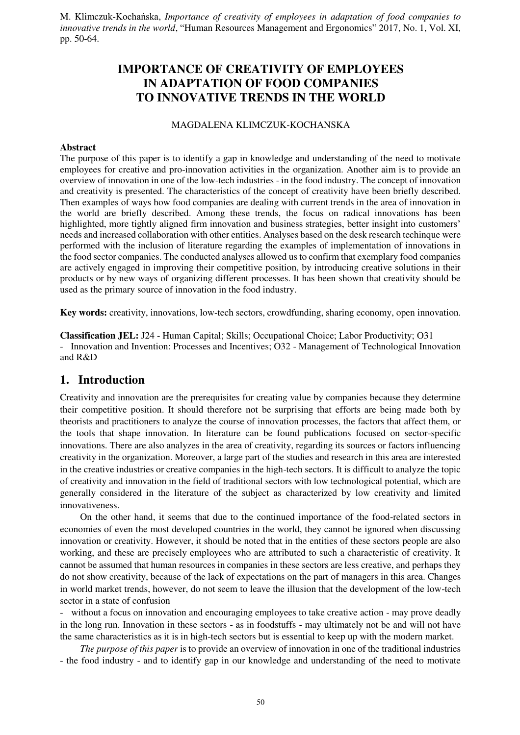# **IMPORTANCE OF CREATIVITY OF EMPLOYEES IN ADAPTATION OF FOOD COMPANIES TO INNOVATIVE TRENDS IN THE WORLD**

#### MAGDALENA KLIMCZUK-KOCHANSKA

#### **Abstract**

The purpose of this paper is to identify a gap in knowledge and understanding of the need to motivate employees for creative and pro-innovation activities in the organization. Another aim is to provide an overview of innovation in one of the low-tech industries - in the food industry. The concept of innovation and creativity is presented. The characteristics of the concept of creativity have been briefly described. Then examples of ways how food companies are dealing with current trends in the area of innovation in the world are briefly described. Among these trends, the focus on radical innovations has been highlighted, more tightly aligned firm innovation and business strategies, better insight into customers' needs and increased collaboration with other entities. Analyses based on the desk research techinque were performed with the inclusion of literature regarding the examples of implementation of innovations in the food sector companies. The conducted analyses allowed us to confirm that exemplary food companies are actively engaged in improving their competitive position, by introducing creative solutions in their products or by new ways of organizing different processes. It has been shown that creativity should be used as the primary source of innovation in the food industry.

**Key words:** creativity, innovations, low-tech sectors, crowdfunding, sharing economy, open innovation.

**Classification JEL:** J24 - Human Capital; Skills; Occupational Choice; Labor Productivity; O31 - Innovation and Invention: Processes and Incentives; O32 - Management of Technological Innovation and R&D

## **1. Introduction**

Creativity and innovation are the prerequisites for creating value by companies because they determine their competitive position. It should therefore not be surprising that efforts are being made both by theorists and practitioners to analyze the course of innovation processes, the factors that affect them, or the tools that shape innovation. In literature can be found publications focused on sector-specific innovations. There are also analyzes in the area of creativity, regarding its sources or factors influencing creativity in the organization. Moreover, a large part of the studies and research in this area are interested in the creative industries or creative companies in the high-tech sectors. It is difficult to analyze the topic of creativity and innovation in the field of traditional sectors with low technological potential, which are generally considered in the literature of the subject as characterized by low creativity and limited innovativeness.

On the other hand, it seems that due to the continued importance of the food-related sectors in economies of even the most developed countries in the world, they cannot be ignored when discussing innovation or creativity. However, it should be noted that in the entities of these sectors people are also working, and these are precisely employees who are attributed to such a characteristic of creativity. It cannot be assumed that human resources in companies in these sectors are less creative, and perhaps they do not show creativity, because of the lack of expectations on the part of managers in this area. Changes in world market trends, however, do not seem to leave the illusion that the development of the low-tech sector in a state of confusion

without a focus on innovation and encouraging employees to take creative action - may prove deadly in the long run. Innovation in these sectors - as in foodstuffs - may ultimately not be and will not have the same characteristics as it is in high-tech sectors but is essential to keep up with the modern market.

*The purpose of this paper* is to provide an overview of innovation in one of the traditional industries - the food industry - and to identify gap in our knowledge and understanding of the need to motivate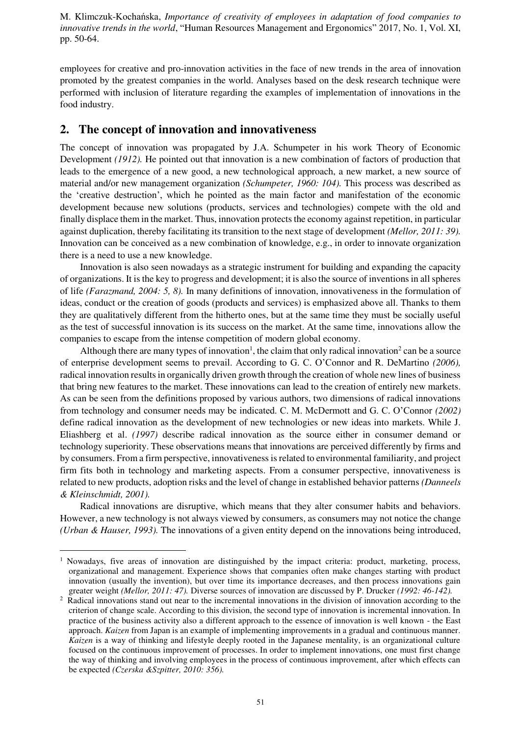employees for creative and pro-innovation activities in the face of new trends in the area of innovation promoted by the greatest companies in the world. Analyses based on the desk research technique were performed with inclusion of literature regarding the examples of implementation of innovations in the food industry.

## **2. The concept of innovation and innovativeness**

The concept of innovation was propagated by J.A. Schumpeter in his work Theory of Economic Development *(1912).* He pointed out that innovation is a new combination of factors of production that leads to the emergence of a new good, a new technological approach, a new market, a new source of material and/or new management organization *(Schumpeter, 1960: 104).* This process was described as the 'creative destruction', which he pointed as the main factor and manifestation of the economic development because new solutions (products, services and technologies) compete with the old and finally displace them in the market. Thus, innovation protects the economy against repetition, in particular against duplication, thereby facilitating its transition to the next stage of development *(Mellor, 2011: 39).* Innovation can be conceived as a new combination of knowledge, e.g., in order to innovate organization there is a need to use a new knowledge.

Innovation is also seen nowadays as a strategic instrument for building and expanding the capacity of organizations. It is the key to progress and development; it is also the source of inventions in all spheres of life *(Farazmand, 2004: 5, 8).* In many definitions of innovation, innovativeness in the formulation of ideas, conduct or the creation of goods (products and services) is emphasized above all. Thanks to them they are qualitatively different from the hitherto ones, but at the same time they must be socially useful as the test of successful innovation is its success on the market. At the same time, innovations allow the companies to escape from the intense competition of modern global economy.

Although there are many types of innovation<sup>1</sup>, the claim that only radical innovation<sup>2</sup> can be a source of enterprise development seems to prevail. According to G. C. O'Connor and R. DeMartino *(2006),* radical innovation results in organically driven growth through the creation of whole new lines of business that bring new features to the market. These innovations can lead to the creation of entirely new markets. As can be seen from the definitions proposed by various authors, two dimensions of radical innovations from technology and consumer needs may be indicated. C. M. McDermott and G. C. O'Connor *(2002)* define radical innovation as the development of new technologies or new ideas into markets. While J. Eliashberg et al. *(1997)* describe radical innovation as the source either in consumer demand or technology superiority. These observations means that innovations are perceived differently by firms and by consumers. From a firm perspective, innovativeness is related to environmental familiarity, and project firm fits both in technology and marketing aspects. From a consumer perspective, innovativeness is related to new products, adoption risks and the level of change in established behavior patterns *(Danneels & Kleinschmidt, 2001).*

Radical innovations are disruptive, which means that they alter consumer habits and behaviors. However, a new technology is not always viewed by consumers, as consumers may not notice the change *(Urban & Hauser, 1993).* The innovations of a given entity depend on the innovations being introduced,

 $\overline{\phantom{0}}$ 

<sup>&</sup>lt;sup>1</sup> Nowadays, five areas of innovation are distinguished by the impact criteria: product, marketing, process, organizational and management. Experience shows that companies often make changes starting with product innovation (usually the invention), but over time its importance decreases, and then process innovations gain greater weight *(Mellor, 2011: 47).* Diverse sources of innovation are discussed by P. Drucker *(1992: 46-142).*

<sup>2</sup> Radical innovations stand out near to the incremental innovations in the division of innovation according to the criterion of change scale. According to this division, the second type of innovation is incremental innovation. In practice of the business activity also a different approach to the essence of innovation is well known - the East approach. *Kaizen* from Japan is an example of implementing improvements in a gradual and continuous manner. *Kaizen* is a way of thinking and lifestyle deeply rooted in the Japanese mentality, is an organizational culture focused on the continuous improvement of processes. In order to implement innovations, one must first change the way of thinking and involving employees in the process of continuous improvement, after which effects can be expected *(Czerska &Szpitter, 2010: 356).*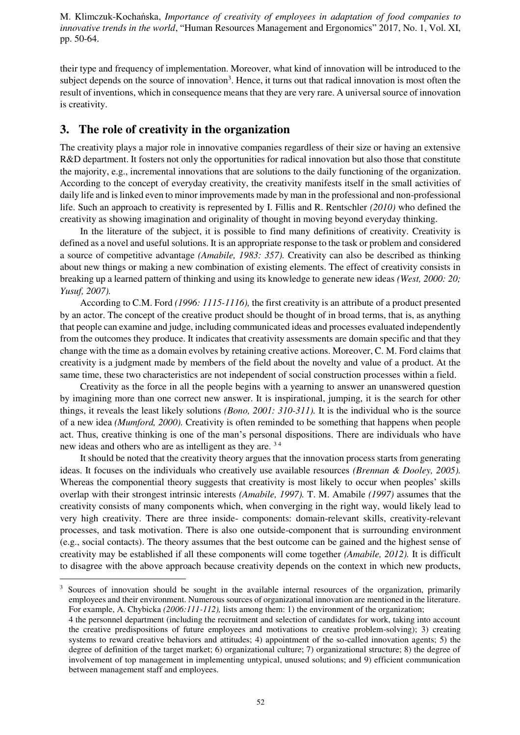their type and frequency of implementation. Moreover, what kind of innovation will be introduced to the subject depends on the source of innovation<sup>3</sup>. Hence, it turns out that radical innovation is most often the result of inventions, which in consequence means that they are very rare. A universal source of innovation is creativity.

# **3. The role of creativity in the organization**

The creativity plays a major role in innovative companies regardless of their size or having an extensive R&D department. It fosters not only the opportunities for radical innovation but also those that constitute the majority, e.g., incremental innovations that are solutions to the daily functioning of the organization. According to the concept of everyday creativity, the creativity manifests itself in the small activities of daily life and is linked even to minor improvements made by man in the professional and non-professional life. Such an approach to creativity is represented by I. Fillis and R. Rentschler *(2010)* who defined the creativity as showing imagination and originality of thought in moving beyond everyday thinking.

In the literature of the subject, it is possible to find many definitions of creativity. Creativity is defined as a novel and useful solutions. It is an appropriate response to the task or problem and considered a source of competitive advantage *(Amabile, 1983: 357).* Creativity can also be described as thinking about new things or making a new combination of existing elements. The effect of creativity consists in breaking up a learned pattern of thinking and using its knowledge to generate new ideas *(West, 2000: 20; Yusuf, 2007).*

According to C.M. Ford *(1996: 1115-1116),* the first creativity is an attribute of a product presented by an actor. The concept of the creative product should be thought of in broad terms, that is, as anything that people can examine and judge, including communicated ideas and processes evaluated independently from the outcomes they produce. It indicates that creativity assessments are domain specific and that they change with the time as a domain evolves by retaining creative actions. Moreover, C. M. Ford claims that creativity is a judgment made by members of the field about the novelty and value of a product. At the same time, these two characteristics are not independent of social construction processes within a field.

Creativity as the force in all the people begins with a yearning to answer an unanswered question by imagining more than one correct new answer. It is inspirational, jumping, it is the search for other things, it reveals the least likely solutions *(Bono, 2001: 310-311).* It is the individual who is the source of a new idea *(Mumford, 2000).* Creativity is often reminded to be something that happens when people act. Thus, creative thinking is one of the man's personal dispositions. There are individuals who have new ideas and others who are as intelligent as they are. 3 4

It should be noted that the creativity theory argues that the innovation process starts from generating ideas. It focuses on the individuals who creatively use available resources *(Brennan & Dooley, 2005).* Whereas the componential theory suggests that creativity is most likely to occur when peoples' skills overlap with their strongest intrinsic interests *(Amabile, 1997).* T. M. Amabile *(1997)* assumes that the creativity consists of many components which, when converging in the right way, would likely lead to very high creativity. There are three inside- components: domain-relevant skills, creativity-relevant processes, and task motivation. There is also one outside-component that is surrounding environment (e.g., social contacts). The theory assumes that the best outcome can be gained and the highest sense of creativity may be established if all these components will come together *(Amabile, 2012).* It is difficult to disagree with the above approach because creativity depends on the context in which new products,  $\overline{\phantom{0}}$ 

<sup>&</sup>lt;sup>3</sup> Sources of innovation should be sought in the available internal resources of the organization, primarily employees and their environment. Numerous sources of organizational innovation are mentioned in the literature. For example, A. Chybicka *(2006:111-112),* lists among them: 1) the environment of the organization;

<sup>4</sup> the personnel department (including the recruitment and selection of candidates for work, taking into account the creative predispositions of future employees and motivations to creative problem-solving); 3) creating systems to reward creative behaviors and attitudes; 4) appointment of the so-called innovation agents; 5) the degree of definition of the target market; 6) organizational culture; 7) organizational structure; 8) the degree of involvement of top management in implementing untypical, unused solutions; and 9) efficient communication between management staff and employees.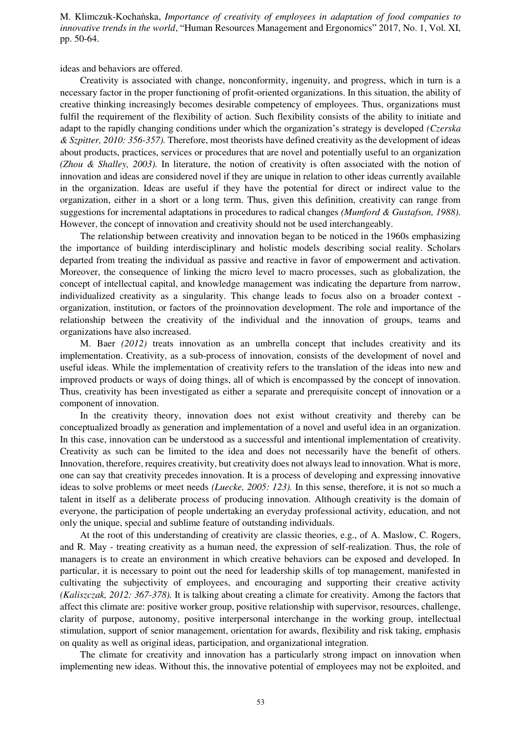ideas and behaviors are offered.

Creativity is associated with change, nonconformity, ingenuity, and progress, which in turn is a necessary factor in the proper functioning of profit-oriented organizations. In this situation, the ability of creative thinking increasingly becomes desirable competency of employees. Thus, organizations must fulfil the requirement of the flexibility of action. Such flexibility consists of the ability to initiate and adapt to the rapidly changing conditions under which the organization's strategy is developed *(Czerska & Szpitter, 2010: 356-357).* Therefore, most theorists have defined creativity as the development of ideas about products, practices, services or procedures that are novel and potentially useful to an organization *(Zhou & Shalley, 2003).* In literature, the notion of creativity is often associated with the notion of innovation and ideas are considered novel if they are unique in relation to other ideas currently available in the organization. Ideas are useful if they have the potential for direct or indirect value to the organization, either in a short or a long term. Thus, given this definition, creativity can range from suggestions for incremental adaptations in procedures to radical changes *(Mumford & Gustafson, 1988).* However, the concept of innovation and creativity should not be used interchangeably.

The relationship between creativity and innovation began to be noticed in the 1960s emphasizing the importance of building interdisciplinary and holistic models describing social reality. Scholars departed from treating the individual as passive and reactive in favor of empowerment and activation. Moreover, the consequence of linking the micro level to macro processes, such as globalization, the concept of intellectual capital, and knowledge management was indicating the departure from narrow, individualized creativity as a singularity. This change leads to focus also on a broader context organization, institution, or factors of the proinnovation development. The role and importance of the relationship between the creativity of the individual and the innovation of groups, teams and organizations have also increased.

M. Baer *(2012)* treats innovation as an umbrella concept that includes creativity and its implementation. Creativity, as a sub-process of innovation, consists of the development of novel and useful ideas. While the implementation of creativity refers to the translation of the ideas into new and improved products or ways of doing things, all of which is encompassed by the concept of innovation. Thus, creativity has been investigated as either a separate and prerequisite concept of innovation or a component of innovation.

In the creativity theory, innovation does not exist without creativity and thereby can be conceptualized broadly as generation and implementation of a novel and useful idea in an organization. In this case, innovation can be understood as a successful and intentional implementation of creativity. Creativity as such can be limited to the idea and does not necessarily have the benefit of others. Innovation, therefore, requires creativity, but creativity does not always lead to innovation. What is more, one can say that creativity precedes innovation. It is a process of developing and expressing innovative ideas to solve problems or meet needs *(Luecke, 2005: 123).* In this sense, therefore, it is not so much a talent in itself as a deliberate process of producing innovation. Although creativity is the domain of everyone, the participation of people undertaking an everyday professional activity, education, and not only the unique, special and sublime feature of outstanding individuals.

At the root of this understanding of creativity are classic theories, e.g., of A. Maslow, C. Rogers, and R. May - treating creativity as a human need, the expression of self-realization. Thus, the role of managers is to create an environment in which creative behaviors can be exposed and developed. In particular, it is necessary to point out the need for leadership skills of top management, manifested in cultivating the subjectivity of employees, and encouraging and supporting their creative activity *(Kaliszczak, 2012: 367-378).* It is talking about creating a climate for creativity. Among the factors that affect this climate are: positive worker group, positive relationship with supervisor, resources, challenge, clarity of purpose, autonomy, positive interpersonal interchange in the working group, intellectual stimulation, support of senior management, orientation for awards, flexibility and risk taking, emphasis on quality as well as original ideas, participation, and organizational integration.

The climate for creativity and innovation has a particularly strong impact on innovation when implementing new ideas. Without this, the innovative potential of employees may not be exploited, and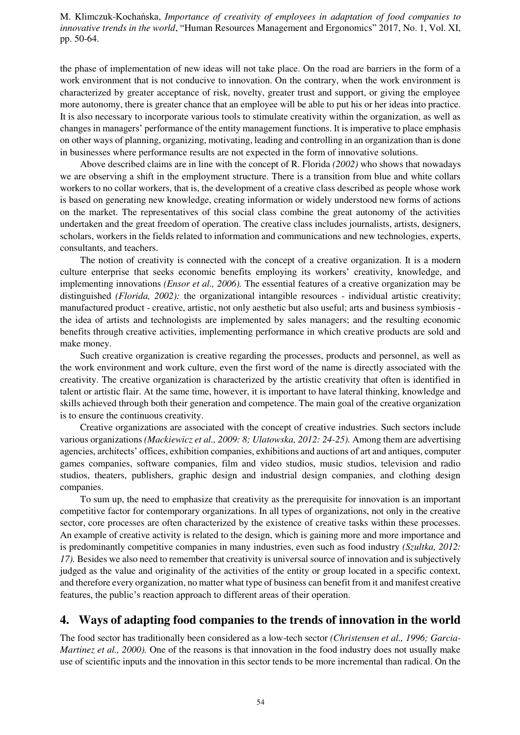the phase of implementation of new ideas will not take place. On the road are barriers in the form of a work environment that is not conducive to innovation. On the contrary, when the work environment is characterized by greater acceptance of risk, novelty, greater trust and support, or giving the employee more autonomy, there is greater chance that an employee will be able to put his or her ideas into practice. It is also necessary to incorporate various tools to stimulate creativity within the organization, as well as changes in managers' performance of the entity management functions. It is imperative to place emphasis on other ways of planning, organizing, motivating, leading and controlling in an organization than is done in businesses where performance results are not expected in the form of innovative solutions.

Above described claims are in line with the concept of R. Florida *(2002)* who shows that nowadays we are observing a shift in the employment structure. There is a transition from blue and white collars workers to no collar workers, that is, the development of a creative class described as people whose work is based on generating new knowledge, creating information or widely understood new forms of actions on the market. The representatives of this social class combine the great autonomy of the activities undertaken and the great freedom of operation. The creative class includes journalists, artists, designers, scholars, workers in the fields related to information and communications and new technologies, experts, consultants, and teachers.

The notion of creativity is connected with the concept of a creative organization. It is a modern culture enterprise that seeks economic benefits employing its workers' creativity, knowledge, and implementing innovations *(Ensor et al., 2006).* The essential features of a creative organization may be distinguished *(Florida, 2002):* the organizational intangible resources - individual artistic creativity; manufactured product - creative, artistic, not only aesthetic but also useful; arts and business symbiosis the idea of artists and technologists are implemented by sales managers; and the resulting economic benefits through creative activities, implementing performance in which creative products are sold and make money.

Such creative organization is creative regarding the processes, products and personnel, as well as the work environment and work culture, even the first word of the name is directly associated with the creativity. The creative organization is characterized by the artistic creativity that often is identified in talent or artistic flair. At the same time, however, it is important to have lateral thinking, knowledge and skills achieved through both their generation and competence. The main goal of the creative organization is to ensure the continuous creativity.

Creative organizations are associated with the concept of creative industries. Such sectors include various organizations *(Mackiewicz et al., 2009: 8; Ulatowska, 2012: 24-25).* Among them are advertising agencies, architects' offices, exhibition companies, exhibitions and auctions of art and antiques, computer games companies, software companies, film and video studios, music studios, television and radio studios, theaters, publishers, graphic design and industrial design companies, and clothing design companies.

To sum up, the need to emphasize that creativity as the prerequisite for innovation is an important competitive factor for contemporary organizations. In all types of organizations, not only in the creative sector, core processes are often characterized by the existence of creative tasks within these processes. An example of creative activity is related to the design, which is gaining more and more importance and is predominantly competitive companies in many industries, even such as food industry *(Szultka, 2012: 17).* Besides we also need to remember that creativity is universal source of innovation and is subjectively judged as the value and originality of the activities of the entity or group located in a specific context, and therefore every organization, no matter what type of business can benefit from it and manifest creative features, the public's reaction approach to different areas of their operation.

# **4. Ways of adapting food companies to the trends of innovation in the world**

The food sector has traditionally been considered as a low-tech sector *(Christensen et al., 1996; Garcia-Martinez et al., 2000).* One of the reasons is that innovation in the food industry does not usually make use of scientific inputs and the innovation in this sector tends to be more incremental than radical. On the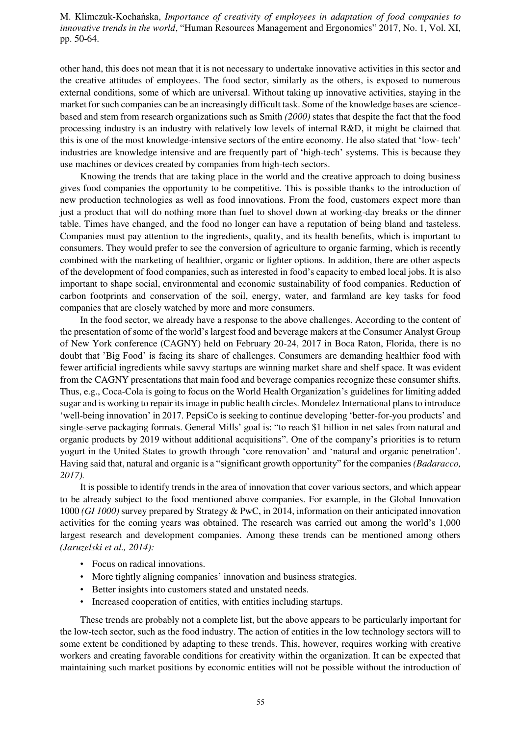other hand, this does not mean that it is not necessary to undertake innovative activities in this sector and the creative attitudes of employees. The food sector, similarly as the others, is exposed to numerous external conditions, some of which are universal. Without taking up innovative activities, staying in the market for such companies can be an increasingly difficult task. Some of the knowledge bases are sciencebased and stem from research organizations such as Smith *(2000)* states that despite the fact that the food processing industry is an industry with relatively low levels of internal R&D, it might be claimed that this is one of the most knowledge-intensive sectors of the entire economy. He also stated that 'low- tech' industries are knowledge intensive and are frequently part of 'high-tech' systems. This is because they use machines or devices created by companies from high-tech sectors.

Knowing the trends that are taking place in the world and the creative approach to doing business gives food companies the opportunity to be competitive. This is possible thanks to the introduction of new production technologies as well as food innovations. From the food, customers expect more than just a product that will do nothing more than fuel to shovel down at working-day breaks or the dinner table. Times have changed, and the food no longer can have a reputation of being bland and tasteless. Companies must pay attention to the ingredients, quality, and its health benefits, which is important to consumers. They would prefer to see the conversion of agriculture to organic farming, which is recently combined with the marketing of healthier, organic or lighter options. In addition, there are other aspects of the development of food companies, such as interested in food's capacity to embed local jobs. It is also important to shape social, environmental and economic sustainability of food companies. Reduction of carbon footprints and conservation of the soil, energy, water, and farmland are key tasks for food companies that are closely watched by more and more consumers.

In the food sector, we already have a response to the above challenges. According to the content of the presentation of some of the world's largest food and beverage makers at the Consumer Analyst Group of New York conference (CAGNY) held on February 20-24, 2017 in Boca Raton, Florida, there is no doubt that 'Big Food' is facing its share of challenges. Consumers are demanding healthier food with fewer artificial ingredients while savvy startups are winning market share and shelf space. It was evident from the CAGNY presentations that main food and beverage companies recognize these consumer shifts. Thus, e.g., Coca-Cola is going to focus on the World Health Organization's guidelines for limiting added sugar and is working to repair its image in public health circles. Mondelez International plans to introduce 'well-being innovation' in 2017. PepsiCo is seeking to continue developing 'better-for-you products' and single-serve packaging formats. General Mills' goal is: "to reach \$1 billion in net sales from natural and organic products by 2019 without additional acquisitions". One of the company's priorities is to return yogurt in the United States to growth through 'core renovation' and 'natural and organic penetration'. Having said that, natural and organic is a "significant growth opportunity" for the companies *(Badaracco, 2017).*

It is possible to identify trends in the area of innovation that cover various sectors, and which appear to be already subject to the food mentioned above companies. For example, in the Global Innovation 1000 *(GI 1000)* survey prepared by Strategy & PwC, in 2014, information on their anticipated innovation activities for the coming years was obtained. The research was carried out among the world's 1,000 largest research and development companies. Among these trends can be mentioned among others *(Jaruzelski et al., 2014):*

- Focus on radical innovations.
- More tightly aligning companies' innovation and business strategies.
- Better insights into customers stated and unstated needs.
- Increased cooperation of entities, with entities including startups.

These trends are probably not a complete list, but the above appears to be particularly important for the low-tech sector, such as the food industry. The action of entities in the low technology sectors will to some extent be conditioned by adapting to these trends. This, however, requires working with creative workers and creating favorable conditions for creativity within the organization. It can be expected that maintaining such market positions by economic entities will not be possible without the introduction of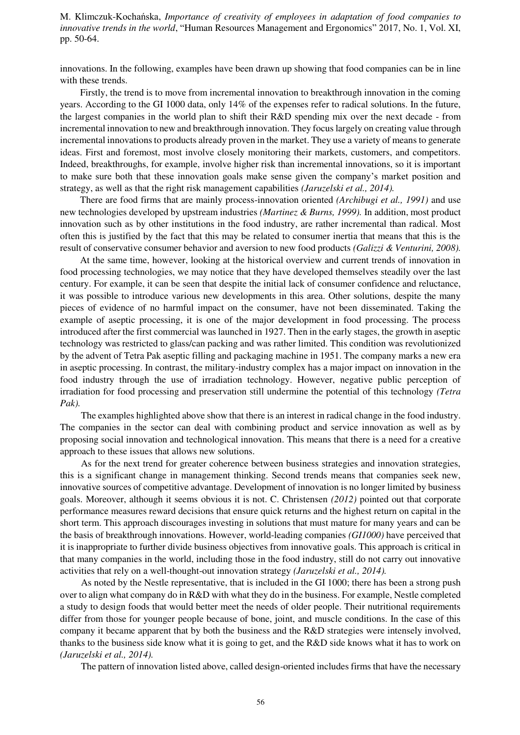innovations. In the following, examples have been drawn up showing that food companies can be in line with these trends.

Firstly, the trend is to move from incremental innovation to breakthrough innovation in the coming years. According to the GI 1000 data, only 14% of the expenses refer to radical solutions. In the future, the largest companies in the world plan to shift their R&D spending mix over the next decade - from incremental innovation to new and breakthrough innovation. They focus largely on creating value through incremental innovations to products already proven in the market. They use a variety of means to generate ideas. First and foremost, most involve closely monitoring their markets, customers, and competitors. Indeed, breakthroughs, for example, involve higher risk than incremental innovations, so it is important to make sure both that these innovation goals make sense given the company's market position and strategy, as well as that the right risk management capabilities *(Jaruzelski et al., 2014).*

There are food firms that are mainly process-innovation oriented *(Archibugi et al., 1991)* and use new technologies developed by upstream industries *(Martinez & Burns, 1999).* In addition, most product innovation such as by other institutions in the food industry, are rather incremental than radical. Most often this is justified by the fact that this may be related to consumer inertia that means that this is the result of conservative consumer behavior and aversion to new food products *(Galizzi & Venturini, 2008).*

At the same time, however, looking at the historical overview and current trends of innovation in food processing technologies, we may notice that they have developed themselves steadily over the last century. For example, it can be seen that despite the initial lack of consumer confidence and reluctance, it was possible to introduce various new developments in this area. Other solutions, despite the many pieces of evidence of no harmful impact on the consumer, have not been disseminated. Taking the example of aseptic processing, it is one of the major development in food processing. The process introduced after the first commercial was launched in 1927. Then in the early stages, the growth in aseptic technology was restricted to glass/can packing and was rather limited. This condition was revolutionized by the advent of Tetra Pak aseptic filling and packaging machine in 1951. The company marks a new era in aseptic processing. In contrast, the military-industry complex has a major impact on innovation in the food industry through the use of irradiation technology. However, negative public perception of irradiation for food processing and preservation still undermine the potential of this technology *(Tetra Pak).*

The examples highlighted above show that there is an interest in radical change in the food industry. The companies in the sector can deal with combining product and service innovation as well as by proposing social innovation and technological innovation. This means that there is a need for a creative approach to these issues that allows new solutions.

As for the next trend for greater coherence between business strategies and innovation strategies, this is a significant change in management thinking. Second trends means that companies seek new, innovative sources of competitive advantage. Development of innovation is no longer limited by business goals. Moreover, although it seems obvious it is not. C. Christensen *(2012)* pointed out that corporate performance measures reward decisions that ensure quick returns and the highest return on capital in the short term. This approach discourages investing in solutions that must mature for many years and can be the basis of breakthrough innovations. However, world-leading companies *(GI1000)* have perceived that it is inappropriate to further divide business objectives from innovative goals. This approach is critical in that many companies in the world, including those in the food industry, still do not carry out innovative activities that rely on a well-thought-out innovation strategy *(Jaruzelski et al., 2014).*

As noted by the Nestle representative, that is included in the GI 1000; there has been a strong push over to align what company do in R&D with what they do in the business. For example, Nestle completed a study to design foods that would better meet the needs of older people. Their nutritional requirements differ from those for younger people because of bone, joint, and muscle conditions. In the case of this company it became apparent that by both the business and the R&D strategies were intensely involved, thanks to the business side know what it is going to get, and the R&D side knows what it has to work on *(Jaruzelski et al., 2014).*

The pattern of innovation listed above, called design-oriented includes firms that have the necessary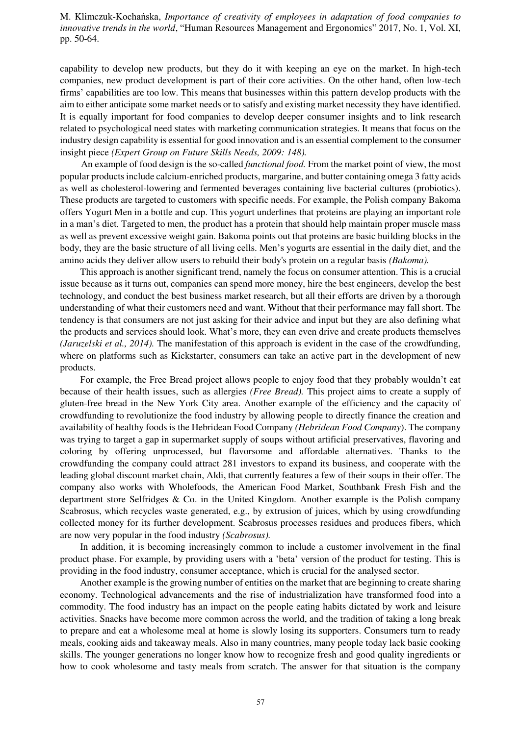capability to develop new products, but they do it with keeping an eye on the market. In high-tech companies, new product development is part of their core activities. On the other hand, often low-tech firms' capabilities are too low. This means that businesses within this pattern develop products with the aim to either anticipate some market needs or to satisfy and existing market necessity they have identified. It is equally important for food companies to develop deeper consumer insights and to link research related to psychological need states with marketing communication strategies. It means that focus on the industry design capability is essential for good innovation and is an essential complement to the consumer insight piece *(Expert Group on Future Skills Needs, 2009: 148).*

An example of food design is the so-called *functional food.* From the market point of view, the most popular products include calcium-enriched products, margarine, and butter containing omega 3 fatty acids as well as cholesterol-lowering and fermented beverages containing live bacterial cultures (probiotics). These products are targeted to customers with specific needs. For example, the Polish company Bakoma offers Yogurt Men in a bottle and cup. This yogurt underlines that proteins are playing an important role in a man's diet. Targeted to men, the product has a protein that should help maintain proper muscle mass as well as prevent excessive weight gain. Bakoma points out that proteins are basic building blocks in the body, they are the basic structure of all living cells. Men's yogurts are essential in the daily diet, and the amino acids they deliver allow users to rebuild their body's protein on a regular basis *(Bakoma).*

This approach is another significant trend, namely the focus on consumer attention. This is a crucial issue because as it turns out, companies can spend more money, hire the best engineers, develop the best technology, and conduct the best business market research, but all their efforts are driven by a thorough understanding of what their customers need and want. Without that their performance may fall short. The tendency is that consumers are not just asking for their advice and input but they are also defining what the products and services should look. What's more, they can even drive and create products themselves *(Jaruzelski et al., 2014).* The manifestation of this approach is evident in the case of the crowdfunding, where on platforms such as Kickstarter, consumers can take an active part in the development of new products.

For example, the Free Bread project allows people to enjoy food that they probably wouldn't eat because of their health issues, such as allergies *(Free Bread).* This project aims to create a supply of gluten-free bread in the New York City area. Another example of the efficiency and the capacity of crowdfunding to revolutionize the food industry by allowing people to directly finance the creation and availability of healthy foods is the Hebridean Food Company *(Hebridean Food Company*). The company was trying to target a gap in supermarket supply of soups without artificial preservatives, flavoring and coloring by offering unprocessed, but flavorsome and affordable alternatives. Thanks to the crowdfunding the company could attract 281 investors to expand its business, and cooperate with the leading global discount market chain, Aldi, that currently features a few of their soups in their offer. The company also works with Wholefoods, the American Food Market, Southbank Fresh Fish and the department store Selfridges & Co. in the United Kingdom. Another example is the Polish company Scabrosus, which recycles waste generated, e.g., by extrusion of juices, which by using crowdfunding collected money for its further development. Scabrosus processes residues and produces fibers, which are now very popular in the food industry *(Scabrosus).*

In addition, it is becoming increasingly common to include a customer involvement in the final product phase. For example, by providing users with a 'beta' version of the product for testing. This is providing in the food industry, consumer acceptance, which is crucial for the analysed sector.

Another example is the growing number of entities on the market that are beginning to create sharing economy. Technological advancements and the rise of industrialization have transformed food into a commodity. The food industry has an impact on the people eating habits dictated by work and leisure activities. Snacks have become more common across the world, and the tradition of taking a long break to prepare and eat a wholesome meal at home is slowly losing its supporters. Consumers turn to ready meals, cooking aids and takeaway meals. Also in many countries, many people today lack basic cooking skills. The younger generations no longer know how to recognize fresh and good quality ingredients or how to cook wholesome and tasty meals from scratch. The answer for that situation is the company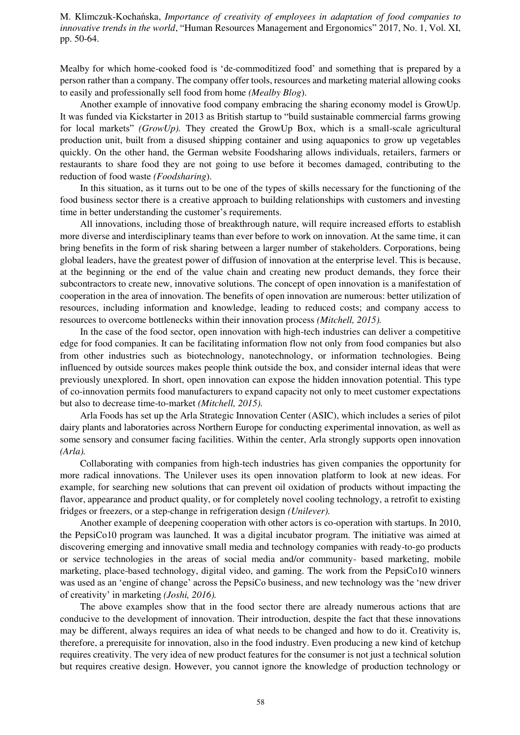Mealby for which home-cooked food is 'de-commoditized food' and something that is prepared by a person rather than a company. The company offer tools, resources and marketing material allowing cooks to easily and professionally sell food from home *(Mealby Blog*).

Another example of innovative food company embracing the sharing economy model is GrowUp. It was funded via Kickstarter in 2013 as British startup to "build sustainable commercial farms growing for local markets" *(GrowUp).* They created the GrowUp Box, which is a small-scale agricultural production unit, built from a disused shipping container and using aquaponics to grow up vegetables quickly. On the other hand, the German website Foodsharing allows individuals, retailers, farmers or restaurants to share food they are not going to use before it becomes damaged, contributing to the reduction of food waste *(Foodsharing*).

In this situation, as it turns out to be one of the types of skills necessary for the functioning of the food business sector there is a creative approach to building relationships with customers and investing time in better understanding the customer's requirements.

All innovations, including those of breakthrough nature, will require increased efforts to establish more diverse and interdisciplinary teams than ever before to work on innovation. At the same time, it can bring benefits in the form of risk sharing between a larger number of stakeholders. Corporations, being global leaders, have the greatest power of diffusion of innovation at the enterprise level. This is because, at the beginning or the end of the value chain and creating new product demands, they force their subcontractors to create new, innovative solutions. The concept of open innovation is a manifestation of cooperation in the area of innovation. The benefits of open innovation are numerous: better utilization of resources, including information and knowledge, leading to reduced costs; and company access to resources to overcome bottlenecks within their innovation process *(Mitchell, 2015).*

In the case of the food sector, open innovation with high-tech industries can deliver a competitive edge for food companies. It can be facilitating information flow not only from food companies but also from other industries such as biotechnology, nanotechnology, or information technologies. Being influenced by outside sources makes people think outside the box, and consider internal ideas that were previously unexplored. In short, open innovation can expose the hidden innovation potential. This type of co-innovation permits food manufacturers to expand capacity not only to meet customer expectations but also to decrease time-to-market *(Mitchell, 2015).*

Arla Foods has set up the Arla Strategic Innovation Center (ASIC), which includes a series of pilot dairy plants and laboratories across Northern Europe for conducting experimental innovation, as well as some sensory and consumer facing facilities. Within the center, Arla strongly supports open innovation *(Arla).*

Collaborating with companies from high-tech industries has given companies the opportunity for more radical innovations. The Unilever uses its open innovation platform to look at new ideas. For example, for searching new solutions that can prevent oil oxidation of products without impacting the flavor, appearance and product quality, or for completely novel cooling technology, a retrofit to existing fridges or freezers, or a step-change in refrigeration design *(Unilever).*

Another example of deepening cooperation with other actors is co-operation with startups. In 2010, the PepsiCo10 program was launched. It was a digital incubator program. The initiative was aimed at discovering emerging and innovative small media and technology companies with ready-to-go products or service technologies in the areas of social media and/or community- based marketing, mobile marketing, place-based technology, digital video, and gaming. The work from the PepsiCo10 winners was used as an 'engine of change' across the PepsiCo business, and new technology was the 'new driver of creativity' in marketing *(Joshi, 2016).*

The above examples show that in the food sector there are already numerous actions that are conducive to the development of innovation. Their introduction, despite the fact that these innovations may be different, always requires an idea of what needs to be changed and how to do it. Creativity is, therefore, a prerequisite for innovation, also in the food industry. Even producing a new kind of ketchup requires creativity. The very idea of new product features for the consumer is not just a technical solution but requires creative design. However, you cannot ignore the knowledge of production technology or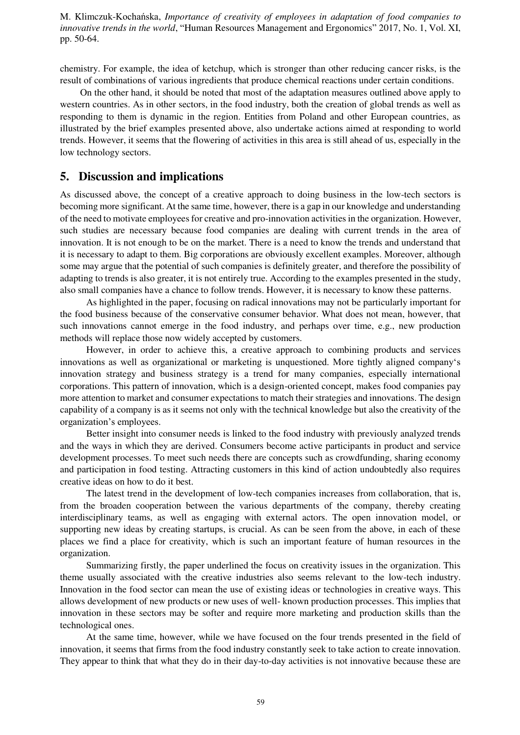chemistry. For example, the idea of ketchup, which is stronger than other reducing cancer risks, is the result of combinations of various ingredients that produce chemical reactions under certain conditions.

On the other hand, it should be noted that most of the adaptation measures outlined above apply to western countries. As in other sectors, in the food industry, both the creation of global trends as well as responding to them is dynamic in the region. Entities from Poland and other European countries, as illustrated by the brief examples presented above, also undertake actions aimed at responding to world trends. However, it seems that the flowering of activities in this area is still ahead of us, especially in the low technology sectors.

## **5. Discussion and implications**

As discussed above, the concept of a creative approach to doing business in the low-tech sectors is becoming more significant. At the same time, however, there is a gap in our knowledge and understanding of the need to motivate employees for creative and pro-innovation activities in the organization. However, such studies are necessary because food companies are dealing with current trends in the area of innovation. It is not enough to be on the market. There is a need to know the trends and understand that it is necessary to adapt to them. Big corporations are obviously excellent examples. Moreover, although some may argue that the potential of such companies is definitely greater, and therefore the possibility of adapting to trends is also greater, it is not entirely true. According to the examples presented in the study, also small companies have a chance to follow trends. However, it is necessary to know these patterns.

As highlighted in the paper, focusing on radical innovations may not be particularly important for the food business because of the conservative consumer behavior. What does not mean, however, that such innovations cannot emerge in the food industry, and perhaps over time, e.g., new production methods will replace those now widely accepted by customers.

However, in order to achieve this, a creative approach to combining products and services innovations as well as organizational or marketing is unquestioned. More tightly aligned company's innovation strategy and business strategy is a trend for many companies, especially international corporations. This pattern of innovation, which is a design-oriented concept, makes food companies pay more attention to market and consumer expectations to match their strategies and innovations. The design capability of a company is as it seems not only with the technical knowledge but also the creativity of the organization's employees.

Better insight into consumer needs is linked to the food industry with previously analyzed trends and the ways in which they are derived. Consumers become active participants in product and service development processes. To meet such needs there are concepts such as crowdfunding, sharing economy and participation in food testing. Attracting customers in this kind of action undoubtedly also requires creative ideas on how to do it best.

The latest trend in the development of low-tech companies increases from collaboration, that is, from the broaden cooperation between the various departments of the company, thereby creating interdisciplinary teams, as well as engaging with external actors. The open innovation model, or supporting new ideas by creating startups, is crucial. As can be seen from the above, in each of these places we find a place for creativity, which is such an important feature of human resources in the organization.

Summarizing firstly, the paper underlined the focus on creativity issues in the organization. This theme usually associated with the creative industries also seems relevant to the low-tech industry. Innovation in the food sector can mean the use of existing ideas or technologies in creative ways. This allows development of new products or new uses of well- known production processes. This implies that innovation in these sectors may be softer and require more marketing and production skills than the technological ones.

At the same time, however, while we have focused on the four trends presented in the field of innovation, it seems that firms from the food industry constantly seek to take action to create innovation. They appear to think that what they do in their day-to-day activities is not innovative because these are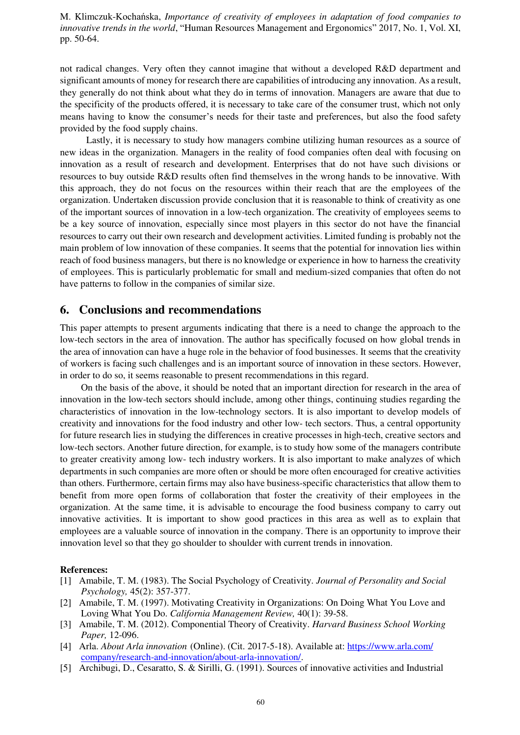not radical changes. Very often they cannot imagine that without a developed R&D department and significant amounts of money for research there are capabilities of introducing any innovation. As a result, they generally do not think about what they do in terms of innovation. Managers are aware that due to the specificity of the products offered, it is necessary to take care of the consumer trust, which not only means having to know the consumer's needs for their taste and preferences, but also the food safety provided by the food supply chains.

Lastly, it is necessary to study how managers combine utilizing human resources as a source of new ideas in the organization. Managers in the reality of food companies often deal with focusing on innovation as a result of research and development. Enterprises that do not have such divisions or resources to buy outside R&D results often find themselves in the wrong hands to be innovative. With this approach, they do not focus on the resources within their reach that are the employees of the organization. Undertaken discussion provide conclusion that it is reasonable to think of creativity as one of the important sources of innovation in a low-tech organization. The creativity of employees seems to be a key source of innovation, especially since most players in this sector do not have the financial resources to carry out their own research and development activities. Limited funding is probably not the main problem of low innovation of these companies. It seems that the potential for innovation lies within reach of food business managers, but there is no knowledge or experience in how to harness the creativity of employees. This is particularly problematic for small and medium-sized companies that often do not have patterns to follow in the companies of similar size.

## **6. Conclusions and recommendations**

This paper attempts to present arguments indicating that there is a need to change the approach to the low-tech sectors in the area of innovation. The author has specifically focused on how global trends in the area of innovation can have a huge role in the behavior of food businesses. It seems that the creativity of workers is facing such challenges and is an important source of innovation in these sectors. However, in order to do so, it seems reasonable to present recommendations in this regard.

On the basis of the above, it should be noted that an important direction for research in the area of innovation in the low-tech sectors should include, among other things, continuing studies regarding the characteristics of innovation in the low-technology sectors. It is also important to develop models of creativity and innovations for the food industry and other low- tech sectors. Thus, a central opportunity for future research lies in studying the differences in creative processes in high-tech, creative sectors and low-tech sectors. Another future direction, for example, is to study how some of the managers contribute to greater creativity among low- tech industry workers. It is also important to make analyzes of which departments in such companies are more often or should be more often encouraged for creative activities than others. Furthermore, certain firms may also have business-specific characteristics that allow them to benefit from more open forms of collaboration that foster the creativity of their employees in the organization. At the same time, it is advisable to encourage the food business company to carry out innovative activities. It is important to show good practices in this area as well as to explain that employees are a valuable source of innovation in the company. There is an opportunity to improve their innovation level so that they go shoulder to shoulder with current trends in innovation.

#### **References:**

- [1] Amabile, T. M. (1983). The Social Psychology of Creativity. *Journal of Personality and Social Psychology,* 45(2): 357-377.
- [2] Amabile, T. M. (1997). Motivating Creativity in Organizations: On Doing What You Love and Loving What You Do. *California Management Review,* 40(1): 39-58.
- [3] Amabile, T. M. (2012). Componential Theory of Creativity. *Harvard Business School Working Paper,* 12-096.
- [4] Arla. *About Arla innovation.* (Online). (Cit. 2017-5-18). Available at[: https://www.arla.com/](https://www.arla.com/%20company/research-and-innovation/about-arla-innovation/)  [company/research-and-innovation/about-arla-innovation/.](https://www.arla.com/%20company/research-and-innovation/about-arla-innovation/)
- [5] Archibugi, D., Cesaratto, S. & Sirilli, G. (1991). Sources of innovative activities and Industrial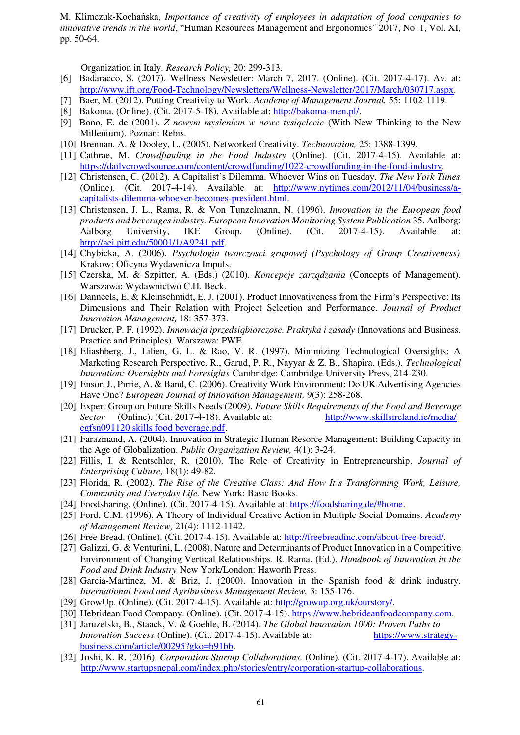Organization in Italy. *Research Policy,* 20: 299-313.

- [6] Badaracco, S. (2017). Wellness Newsletter: March 7, 2017. (Online). (Cit. 2017-4-17). Av. at: [http://www.ift.org/Food-Technology/Newsletters/Wellness-Newsletter/2017/March/030717.aspx.](http://www.ift.org/Food-Technology/Newsletters/Wellness-Newsletter/2017/March/030717.aspx)
- [7] Baer, M. (2012). Putting Creativity to Work. *Academy of Management Journal,* 55: 1102-1119.
- [8] Bakoma. (Online). (Cit. 2017-5-18). Available at[: http://bakoma-men.pl/.](http://bakoma-men.pl/)
- [9] Bono, E. de (2001). *Z nowym mysleniem w nowe tysiqclecie* (With New Thinking to the New Millenium). Poznan: Rebis.
- [10] Brennan, A. & Dooley, L. (2005). Networked Creativity. *Technovation,* 25: 1388-1399.
- [11] Cathrae, M. *Crowdfunding in the Food Industry* (Online). (Cit. 2017-4-15). Available at: [https://dailvcrowdsource.com/content/crowdfunding/1022-crowdfunding-in-the-food-industrv.](https://dailycrowdsource.com/content/crowdfunding/1022-crowdfunding-in-the-food-industry)
- [12] Christensen, C. (2012). A Capitalist's Dilemma. Whoever Wins on Tuesday. *The New York Times.*  (Online). (Cit. 2017-4-14). Available at[: http://www.nytimes.com/2012/11/04/business/a](http://www.nytimes.com/2012/11/04/business/a-capitalists-dilemma-whoever-becomes-president.html)[capitalists-dilemma-whoever-becomes-president.html.](http://www.nytimes.com/2012/11/04/business/a-capitalists-dilemma-whoever-becomes-president.html)
- [13] Christensen, J. L., Rama, R. & Von Tunzelmann, N. (1996). *Innovation in the European food products and beverages industry. European Innovation Monitoring System Publication* 35. Aalborg: Aalborg University, IKE Group. (Online). (Cit. 2017-4-15). Available at: [http://aei.pitt.edu/50001/1/A9241.pdf.](http://aei.pitt.edu/50001/1/A9241.pdf)
- [14] Chybicka, A. (2006). *Psychologia tworczosci grupowej (Psychology of Group Creativeness).*  Krakow: Oficyna Wydawnicza Impuls.
- [15] Czerska, M. & Szpitter, A. (Eds.) (2010). *Koncepcje zarzqdzania* (Concepts of Management). Warszawa: Wydawnictwo C.H. Beck.
- [16] Danneels, E. & Kleinschmidt, E. J. (2001). Product Innovativeness from the Firm's Perspective: Its Dimensions and Their Relation with Project Selection and Performance. *Journal of Product Innovation Management,* 18: 357-373.
- [17] Drucker, P. F. (1992). *Innowacja iprzedsiqbiorczosc. Praktyka i zasady* (Innovations and Business. Practice and Principles)*.* Warszawa: PWE.
- [18] Eliashberg, J., Lilien, G. L. & Rao, V. R. (1997). Minimizing Technological Oversights: A Marketing Research Perspective. R., Garud, P. R., Nayyar & Z. B., Shapira. (Eds.). *Technological Innovation: Oversights and Foresights.* Cambridge: Cambridge University Press, 214-230.
- [19] Ensor, J., Pirrie, A. & Band, C. (2006). Creativity Work Environment: Do UK Advertising Agencies Have One? *European Journal of Innovation Management,* 9(3): 258-268.
- [20] Expert Group on Future Skills Needs (2009). *Future Skills Requirements of the Food and Beverage Sector.* (Online). (Cit. 2017-4-18). Available at[: http://www.skillsireland.ie/media/](http://www.skillsireland.ie/media/%20egfsn091120_skills_food_beverage.pdf) [egfsn091120 skills food beverage.pdf.](http://www.skillsireland.ie/media/%20egfsn091120_skills_food_beverage.pdf)
- [21] Farazmand, A. (2004). Innovation in Strategic Human Resorce Management: Building Capacity in the Age of Globalization. *Public Organization Review,* 4(1): 3-24.
- [22] Fillis, I. & Rentschler, R. (2010). The Role of Creativity in Entrepreneurship. *Journal of Enterprising Culture,* 18(1): 49-82.
- [23] Florida, R. (2002). *The Rise of the Creative Class: And How It's Transforming Work, Leisure, Community and Everyday Life.* New York: Basic Books.
- [24] Foodsharing. (Online). (Cit. 2017-4-15). Available at[: https://foodsharing.de/#home.](https://foodsharing.de/%23home)
- [25] Ford, C.M. (1996). A Theory of Individual Creative Action in Multiple Social Domains. *Academy of Management Review,* 21(4): 1112-1142.
- [26] Free Bread. (Online). (Cit. 2017-4-15). Available at[: http://freebreadinc.com/about-free-bread/.](http://freebreadinc.com/about-free-bread/)
- [27] Galizzi, G. & Venturini, L. (2008). Nature and Determinants of Product Innovation in a Competitive Environment of Changing Vertical Relationships. R. Rama. (Ed.). *Handbook of Innovation in the Food and Drink Industry.* New York/London: Haworth Press.
- [28] Garcia-Martinez, M. & Briz, J. (2000). Innovation in the Spanish food & drink industry. *International Food and Agribusiness Management Review,* 3: 155-176.
- [29] GrowUp. (Online). (Cit. 2017-4-15). Available at[: http://growup.org.uk/ourstory/.](http://growup.org.uk/ourstory/)
- [30] Hebridean Food Company. (Online). (Cit. 2017-4-15)[. https://www.hebrideanfoodcompany.com.](https://www.hebrideanfoodcompany.com/)
- [31] Jaruzelski, B., Staack, V. & Goehle, B. (2014). *The Global Innovation 1000: Proven Paths to Innovation Success.* (Online). (Cit. 2017-4-15). Available at[: https://www.strategy](https://www.strategy-business.com/article/00295?gko=b91bb)[business.com/article/00295?gko=b91bb.](https://www.strategy-business.com/article/00295?gko=b91bb)
- [32] Joshi, K. R. (2016). *Corporation-Startup Collaborations.* (Online). (Cit. 2017-4-17). Available at: [http://www.startupsnepal.com/index.php/stories/entry/corporation-startup-collaborations.](http://www.startupsnepal.com/index.php/stories/entry/corporation-startup-collaborations)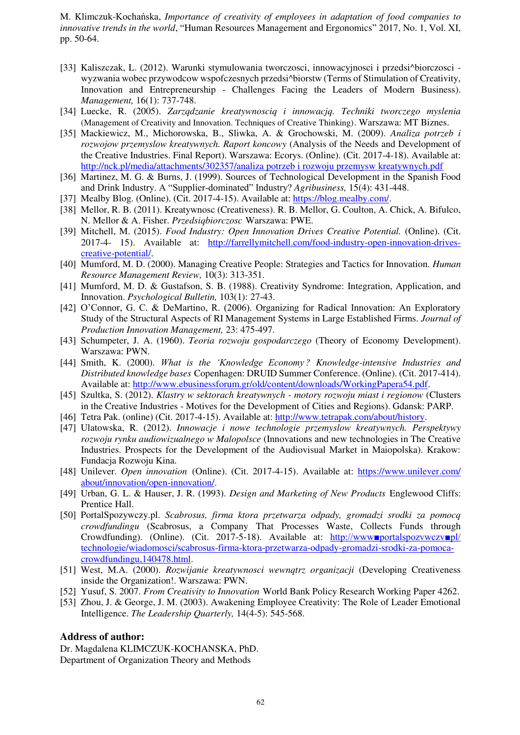- [33] Kaliszczak, L. (2012). Warunki stymulowania tworczosci, innowacyjnosci i przedsi^biorczosci wyzwania wobec przywodcow wspofczesnych przedsi^biorstw (Terms of Stimulation of Creativity, Innovation and Entrepreneurship - Challenges Facing the Leaders of Modern Business). *Management,* 16(1): 737-748.
- [34] Luecke, R. (2005). *Zarzqdzanie kreatywnosciq i innowacjq. Techniki tworczego myslenia*  (Management of Creativity and Innovation. Techniques of Creative Thinking). Warszawa: MT Biznes.
- [35] Mackiewicz, M., Michorowska, B., Sliwka, A. & Grochowski, M. (2009). *Analiza potrzeb i rozwojow przemyslow kreatywnych. Raport koncowy* (Analysis of the Needs and Development of the Creative Industries. Final Report). Warszawa: Ecorys. (Online). (Cit. 2017-4-18). Available at: [http://nck.pl/media/attachments/302357/analiza potrzeb i rozwoju przemysw kreatywnych.pdf](http://nck.pl/media/attachments/302357/analiza_potrzeb_i_rozwoju_przemysw_kreatywnych.pdf)
- [36] Martinez, M. G. & Burns, J. (1999). Sources of Technological Development in the Spanish Food and Drink Industry. A "Supplier-dominated" Industry? *Agribusiness,* 15(4): 431-448.
- [37] Mealby Blog. (Online). (Cit. 2017-4-15). Available at[: https://blog.mealby.com/.](https://blog.mealby.com/)
- [38] Mellor, R. B. (2011). Kreatywnosc (Creativeness). R. B. Mellor, G. Coulton, A. Chick, A. Bifulco, N. Mellor & A. Fisher. *Przedsiqbiorczosc.* Warszawa: PWE.
- [39] Mitchell, M. (2015). *Food Industry: Open Innovation Drives Creative Potential.* (Online). (Cit. 2017-4- 15). Available at[: http://farrellymitchell.com/food-industry-open-innovation-drives](http://farrellymitchell.com/food-industry-open-innovation-drives-creative-potential/)[creative-potential/.](http://farrellymitchell.com/food-industry-open-innovation-drives-creative-potential/)
- [40] Mumford, M. D. (2000). Managing Creative People: Strategies and Tactics for Innovation. *Human Resource Management Review,* 10(3): 313-351.
- [41] Mumford, M. D. & Gustafson, S. B. (1988). Creativity Syndrome: Integration, Application, and Innovation. *Psychological Bulletin,* 103(1): 27-43.
- [42] O'Connor, G. C. & DeMartino, R. (2006). Organizing for Radical Innovation: An Exploratory Study of the Structural Aspects of RI Management Systems in Large Established Firms. *Journal of Production Innovation Management,* 23: 475-497.
- [43] Schumpeter, J. A. (1960). *Teoria rozwoju gospodarczego* (Theory of Economy Development). Warszawa: PWN.
- [44] Smith, K. (2000). *What is the 'Knowledge Economy'? Knowledge-intensive Industries and Distributed knowledge bases.* Copenhagen: DRUID Summer Conference. (Online). (Cit. 2017-414). Available at[: http://www.ebusinessforum.gr/old/content/downloads/WorkingPapera54.pdf.](http://www.ebusinessforum.gr/old/content/downloads/WorkingPapera54.pdf)
- [45] Szultka, S. (2012). *Klastry w sektorach kreatywnych motory rozwoju miast i regionow* (Clusters in the Creative Industries - Motives for the Development of Cities and Regions). Gdansk: PARP.
- [46] Tetra Pak. (online) (Cit. 2017-4-15). Available at[: http://www.tetrapak.com/about/history.](http://www.tetrapak.com/about/history)
- [47] Ulatowska, R. (2012). *Innowacje i nowe technologie przemyslow kreatywnych. Perspektywy rozwoju rynku audiowizualnego w Malopolsce* (Innovations and new technologies in The Creative Industries. Prospects for the Development of the Audiovisual Market in Maiopolska). Krakow: Fundacja Rozwoju Kina.
- [48] Unilever. *Open innovation.* (Online). (Cit. 2017-4-15). Available at[: https://www.unilever.com/](https://www.unilever.com/%20about/innovation/open-innovation/)  [about/innovation/open-innovation/.](https://www.unilever.com/%20about/innovation/open-innovation/)
- [49] Urban, G. L. & Hauser, J. R. (1993). *Design and Marketing of New Products.* Englewood Cliffs: Prentice Hall.
- [50] PortalSpozywczy.pl. *Scabrosus, firma ktora przetwarza odpady, gromadzi srodki za pomocq crowdfundingu* (Scabrosus, a Company That Processes Waste, Collects Funds through Crowdfunding). (Online). (Cit. 2017-5-18). Available at: [http://www■portalspozvwczv■pl/](http://www.portalspozywczy.pl/%20technologie/wiadomosci/scabrosus-firma-ktora-przetwarza-odpady-gromadzi-srodki-za-pomoca-crowdfundingu,140478.html) [technologie/wiadomosci/scabrosus-firma-ktora-przetwarza-odpady-gromadzi-srodki-za-pomoca](http://www.portalspozywczy.pl/%20technologie/wiadomosci/scabrosus-firma-ktora-przetwarza-odpady-gromadzi-srodki-za-pomoca-crowdfundingu,140478.html)[crowdfundingu,140478.html.](http://www.portalspozywczy.pl/%20technologie/wiadomosci/scabrosus-firma-ktora-przetwarza-odpady-gromadzi-srodki-za-pomoca-crowdfundingu,140478.html)
- [51] West, M.A. (2000). *Rozwijanie kreatywnosci wewnqtrz organizacji* (Developing Creativeness inside the Organization!. Warszawa: PWN.
- [52] Yusuf, S. 2007. *From Creativity to Innovation.* World Bank Policy Research Working Paper 4262.
- [53] Zhou, J. & George, J. M. (2003). Awakening Employee Creativity: The Role of Leader Emotional Intelligence. *The Leadership Quarterly,* 14(4-5): 545-568.

### **Address of author:**

Dr. Magdalena KLIMCZUK-KOCHANSKA, PhD. Department of Organization Theory and Methods